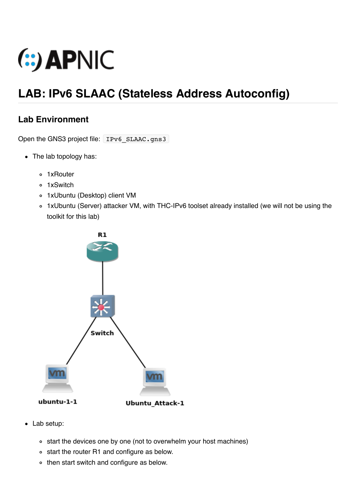

# **LAB: IPv6 SLAAC (Stateless Address Autoconfig)**

## **Lab Environment**

Open the GNS3 project file: IPv6 SLAAC.gns3

- The lab topology has:
	- 1xRouter
	- o 1xSwitch
	- 1xUbuntu (Desktop) client VM
	- 1xUbuntu (Server) attacker VM, with THC-IPv6 toolset already installed (we will not be using the toolkit for this lab)



- Lab setup:
	- o start the devices one by one (not to overwhelm your host machines)
	- start the router R1 and configure as below.
	- then start switch and configure as below.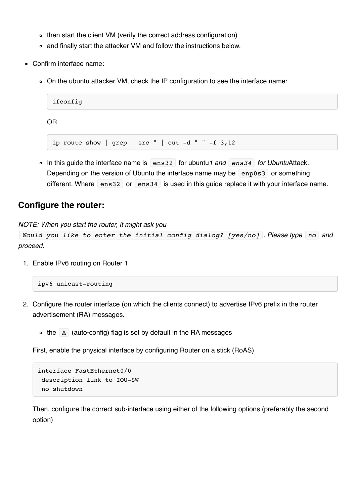- then start the client VM (verify the correct address configuration)
- and finally start the attacker VM and follow the instructions below.
- Confirm interface name:
	- On the ubuntu attacker VM, check the IP configuration to see the interface name:

```
ifconfig
OR
```
ip route show | grep "  $src$  " |  $cut -d$  " " -f 3,12

In this guide the interface name is ens32 for ubuntu*1 and ens34 for Ubuntu*Attack. Depending on the version of Ubuntu the interface name may be  $\left[\right.$  enp0s3 or something different. Where ens32 or ens34 is used in this guide replace it with your interface name.

#### **Configure the router:**

*NOTE: When you start the router, it might ask you*

```
Would you like to enter the initial config dialog? [yes/no] . Please type no and
proceed.
```
1. Enable IPv6 routing on Router 1

```
ipv6 unicast-routing
```
- 2. Configure the router interface (on which the clients connect) to advertise IPv6 prefix in the router advertisement (RA) messages.
	- $\circ$  the A (auto-config) flag is set by default in the RA messages

First, enable the physical interface by configuring Router on a stick (RoAS)

```
interface FastEthernet0/0
 description link to IOU-SW
 no shutdown
```
Then, configure the correct sub-interface using either of the following options (preferably the second option)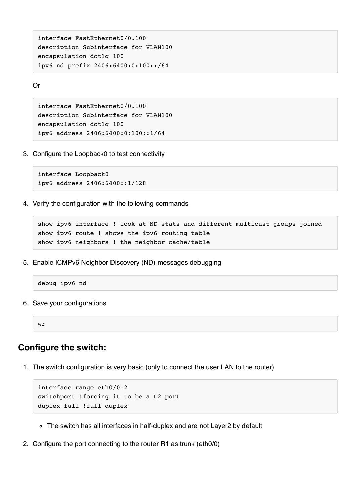interface FastEthernet0/0.100 description Subinterface for VLAN100 encapsulation dot1q 100 ipv6 nd prefix 2406:6400:0:100::/64

Or

```
interface FastEthernet0/0.100
description Subinterface for VLAN100
encapsulation dot1q 100
ipv6 address 2406:6400:0:100::1/64
```
3. Configure the Loopback0 to test connectivity

```
interface Loopback0
ipv6 address 2406:6400::1/128
```
4. Verify the configuration with the following commands

```
show ipv6 interface ! look at ND stats and different multicast groups joined
show ipv6 route ! shows the ipv6 routing table
show ipv6 neighbors ! the neighbor cache/table
```
5. Enable ICMPv6 Neighbor Discovery (ND) messages debugging

debug ipv6 nd

6. Save your configurations

wr

#### **Configure the switch:**

1. The switch configuration is very basic (only to connect the user LAN to the router)

```
interface range eth0/0-2
switchport !forcing it to be a L2 port
duplex full !full duplex
```
- The switch has all interfaces in half-duplex and are not Layer2 by default
- 2. Configure the port connecting to the router R1 as trunk (eth0/0)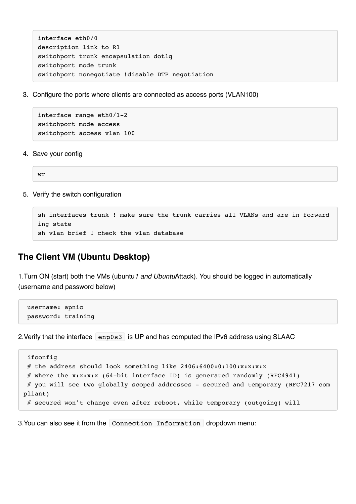```
interface eth0/0
description link to R1
switchport trunk encapsulation dot1q
switchport mode trunk
switchport nonegotiate !disable DTP negotiation
```
3. Configure the ports where clients are connected as access ports (VLAN100)

```
interface range eth0/1-2
switchport mode access
switchport access vlan 100
```
4. Save your config

wr

5. Verify the switch configuration

```
sh interfaces trunk ! make sure the trunk carries all VLANs and are in forward
ing state
sh vlan brief ! check the vlan database
```
### **The Client VM (Ubuntu Desktop)**

1.Turn ON (start) both the VMs (ubuntu*1 and Ubuntu*Attack). You should be logged in automatically (username and password below)

```
 username: apnic
 password: training
```
2. Verify that the interface enp0s3 is UP and has computed the IPv6 address using SLAAC

```
 ifconfig
 # the address should look something like 2406:6400:0:100:x:x:x:x
 # where the x:x:x:x (64-bit interface ID) is generated randomly (RFC4941)
 # you will see two globally scoped addresses – secured and temporary (RFC7217 com
pliant)
  # secured won't change even after reboot, while temporary (outgoing) will
```
3.You can also see it from the Connection Information dropdown menu: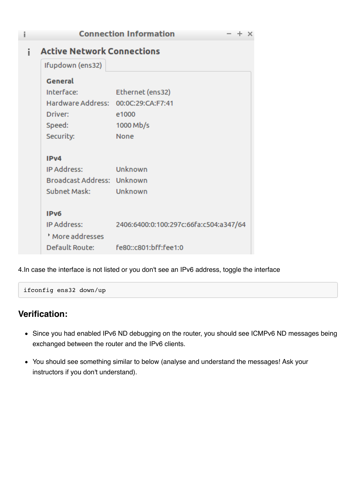| i | <b>Connection Information</b>       |                                        |
|---|-------------------------------------|----------------------------------------|
| i | <b>Active Network Connections</b>   |                                        |
|   | Ifupdown (ens32)                    |                                        |
|   | General                             |                                        |
|   | Interface:                          | Ethernet (ens32)                       |
|   | Hardware Address: 00:0C:29:CA:F7:41 |                                        |
|   | Driver:                             | e1000                                  |
|   | Speed:                              | 1000 Mb/s                              |
|   | Security:                           | None                                   |
|   | IP <sub>v4</sub>                    |                                        |
|   | IP Address:                         | Unknown                                |
|   | Broadcast Address: Unknown          |                                        |
|   | Subnet Mask: Unknown                |                                        |
|   | IP <sub>v6</sub>                    |                                        |
|   | IP Address:                         | 2406:6400:0:100:297c:66fa:c504:a347/64 |
|   | More addresses                      |                                        |
|   |                                     | Default Route: fe80::c801:bff:fee1:0   |

4.In case the interface is not listed or you don't see an IPv6 address, toggle the interface

```
ifconfig ens32 down/up
```
## **Verification:**

- Since you had enabled IPv6 ND debugging on the router, you should see ICMPv6 ND messages being exchanged between the router and the IPv6 clients.
- You should see something similar to below (analyse and understand the messages! Ask your instructors if you don't understand).